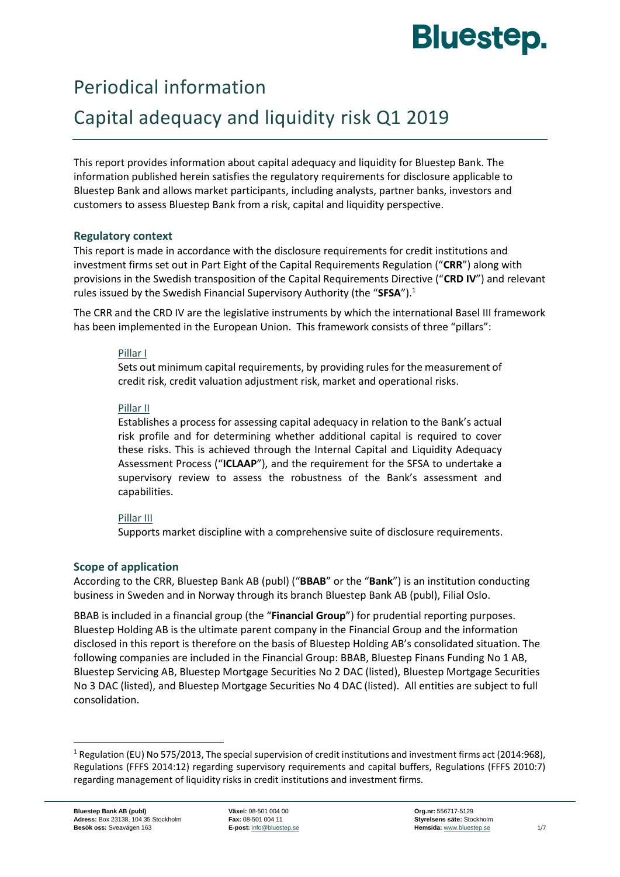# **Bluestep.**

## Periodical information

## Capital adequacy and liquidity risk Q1 2019

This report provides information about capital adequacy and liquidity for Bluestep Bank. The information published herein satisfies the regulatory requirements for disclosure applicable to Bluestep Bank and allows market participants, including analysts, partner banks, investors and customers to assess Bluestep Bank from a risk, capital and liquidity perspective.

#### **Regulatory context**

This report is made in accordance with the disclosure requirements for credit institutions and investment firms set out in Part Eight of the Capital Requirements Regulation ("**CRR**") along with provisions in the Swedish transposition of the Capital Requirements Directive ("**CRD IV**") and relevant rules issued by the Swedish Financial Supervisory Authority (the "**SFSA**").<sup>1</sup>

The CRR and the CRD IV are the legislative instruments by which the international Basel III framework has been implemented in the European Union. This framework consists of three "pillars":

#### Pillar I

Sets out minimum capital requirements, by providing rules for the measurement of credit risk, credit valuation adjustment risk, market and operational risks.

#### Pillar II

Establishes a process for assessing capital adequacy in relation to the Bank's actual risk profile and for determining whether additional capital is required to cover these risks. This is achieved through the Internal Capital and Liquidity Adequacy Assessment Process ("**ICLAAP**"), and the requirement for the SFSA to undertake a supervisory review to assess the robustness of the Bank's assessment and capabilities.

#### Pillar III

Supports market discipline with a comprehensive suite of disclosure requirements.

### **Scope of application**

According to the CRR, Bluestep Bank AB (publ) ("**BBAB**" or the "**Bank**") is an institution conducting business in Sweden and in Norway through its branch Bluestep Bank AB (publ), Filial Oslo.

BBAB is included in a financial group (the "**Financial Group**") for prudential reporting purposes. Bluestep Holding AB is the ultimate parent company in the Financial Group and the information disclosed in this report is therefore on the basis of Bluestep Holding AB's consolidated situation. The following companies are included in the Financial Group: BBAB, Bluestep Finans Funding No 1 AB, Bluestep Servicing AB, Bluestep Mortgage Securities No 2 DAC (listed), Bluestep Mortgage Securities No 3 DAC (listed), and Bluestep Mortgage Securities No 4 DAC (listed). All entities are subject to full consolidation.

**.** 

<sup>&</sup>lt;sup>1</sup> Regulation (EU) No 575/2013, The special supervision of credit institutions and investment firms act (2014:968), Regulations (FFFS 2014:12) regarding supervisory requirements and capital buffers, Regulations (FFFS 2010:7) regarding management of liquidity risks in credit institutions and investment firms.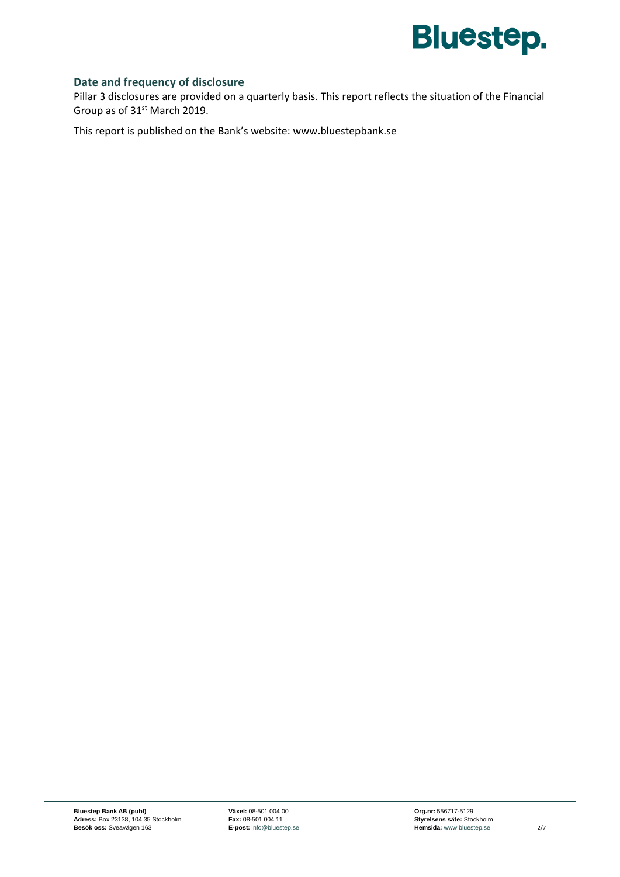

#### **Date and frequency of disclosure**

Pillar 3 disclosures are provided on a quarterly basis. This report reflects the situation of the Financial Group as of 31<sup>st</sup> March 2019.

This report is published on the Bank's website: [www.bluestepbank.se](http://www.bluestepbank.se/)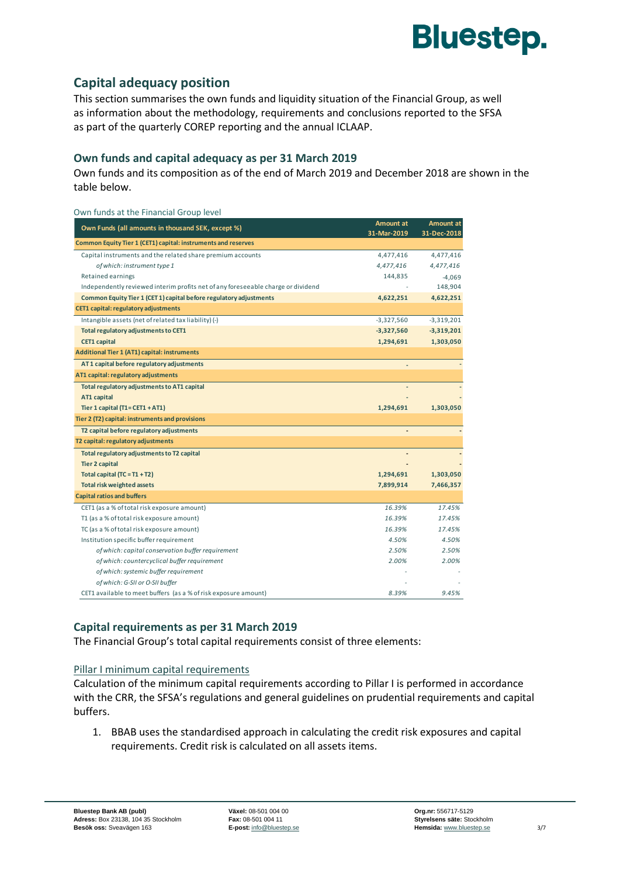

### **Capital adequacy position**

Own funds at the Financial Group level

This section summarises the own funds and liquidity situation of the Financial Group, as well as information about the methodology, requirements and conclusions reported to the SFSA as part of the quarterly COREP reporting and the annual ICLAAP.

#### **Own funds and capital adequacy as per 31 March 2019**

Own funds and its composition as of the end of March 2019 and December 2018 are shown in the table below.

| Own Funds (all amounts in thousand SEK, except %)                                | Amount at<br>31-Mar-2019     | <b>Amount at</b><br>31-Dec-2018 |
|----------------------------------------------------------------------------------|------------------------------|---------------------------------|
| Common Equity Tier 1 (CET1) capital: instruments and reserves                    |                              |                                 |
| Capital instruments and the related share premium accounts                       | 4,477,416                    | 4,477,416                       |
| of which: instrument type 1                                                      | 4,477,416                    | 4,477,416                       |
| Retained earnings                                                                | 144,835                      | $-4,069$                        |
| Independently reviewed interim profits net of any foreseeable charge or dividend |                              | 148,904                         |
| Common Equity Tier 1 (CET 1) capital before regulatory adjustments               | 4,622,251                    | 4,622,251                       |
| <b>CET1 capital: regulatory adjustments</b>                                      |                              |                                 |
| Intangible assets (net of related tax liability) (-)                             | $-3,327,560$                 | $-3,319,201$                    |
| Total regulatory adjustments to CET1                                             | $-3,327,560$                 | $-3,319,201$                    |
| <b>CET1 capital</b>                                                              | 1,294,691                    | 1,303,050                       |
| <b>Additional Tier 1 (AT1) capital: instruments</b>                              |                              |                                 |
| AT1 capital before regulatory adjustments                                        |                              |                                 |
| AT1 capital: regulatory adjustments                                              |                              |                                 |
| Total regulatory adjustments to AT1 capital                                      |                              |                                 |
| AT1 capital                                                                      |                              |                                 |
| Tier 1 capital $(T1 = CET1 + AT1)$                                               | 1,294,691                    | 1,303,050                       |
| Tier 2 (T2) capital: instruments and provisions                                  |                              |                                 |
| T2 capital before regulatory adjustments                                         | $\qquad \qquad \blacksquare$ |                                 |
| T2 capital: regulatory adjustments                                               |                              |                                 |
| Total regulatory adjustments to T2 capital                                       |                              |                                 |
| <b>Tier 2 capital</b>                                                            |                              |                                 |
| Total capital $(TC = T1 + T2)$                                                   | 1,294,691                    | 1,303,050                       |
| <b>Total risk weighted assets</b>                                                | 7,899,914                    | 7,466,357                       |
| <b>Capital ratios and buffers</b>                                                |                              |                                 |
| CET1 (as a % of total risk exposure amount)                                      | 16.39%                       | 17.45%                          |
| T1 (as a % of total risk exposure amount)                                        | 16.39%                       | 17.45%                          |
| TC (as a % of total risk exposure amount)                                        | 16.39%                       | 17.45%                          |
| Institution specific buffer requirement                                          | 4.50%                        | 4.50%                           |
| of which: capital conservation buffer requirement                                | 2.50%                        | 2.50%                           |
| of which: countercyclical buffer requirement                                     | 2.00%                        | 2.00%                           |
| of which: systemic buffer requirement                                            |                              |                                 |
| of which: G-SII or O-SII buffer                                                  |                              |                                 |
| CET1 available to meet buffers (as a % of risk exposure amount)                  | 8.39%                        | 9.45%                           |

#### **Capital requirements as per 31 March 2019**

The Financial Group's total capital requirements consist of three elements:

#### Pillar I minimum capital requirements

Calculation of the minimum capital requirements according to Pillar I is performed in accordance with the CRR, the SFSA's regulations and general guidelines on prudential requirements and capital buffers.

1. BBAB uses the standardised approach in calculating the credit risk exposures and capital requirements. Credit risk is calculated on all assets items.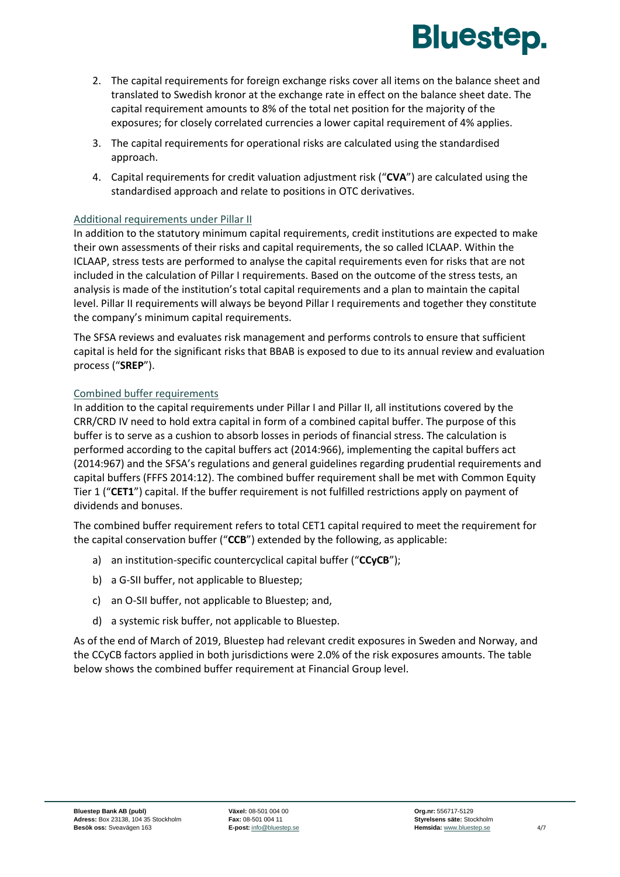

- 2. The capital requirements for foreign exchange risks cover all items on the balance sheet and translated to Swedish kronor at the exchange rate in effect on the balance sheet date. The capital requirement amounts to 8% of the total net position for the majority of the exposures; for closely correlated currencies a lower capital requirement of 4% applies.
- 3. The capital requirements for operational risks are calculated using the standardised approach.
- 4. Capital requirements for credit valuation adjustment risk ("**CVA**") are calculated using the standardised approach and relate to positions in OTC derivatives.

#### Additional requirements under Pillar II

In addition to the statutory minimum capital requirements, credit institutions are expected to make their own assessments of their risks and capital requirements, the so called ICLAAP. Within the ICLAAP, stress tests are performed to analyse the capital requirements even for risks that are not included in the calculation of Pillar I requirements. Based on the outcome of the stress tests, an analysis is made of the institution's total capital requirements and a plan to maintain the capital level. Pillar II requirements will always be beyond Pillar I requirements and together they constitute the company's minimum capital requirements.

The SFSA reviews and evaluates risk management and performs controls to ensure that sufficient capital is held for the significant risks that BBAB is exposed to due to its annual review and evaluation process ("**SREP**").

#### Combined buffer requirements

In addition to the capital requirements under Pillar I and Pillar II, all institutions covered by the CRR/CRD IV need to hold extra capital in form of a combined capital buffer. The purpose of this buffer is to serve as a cushion to absorb losses in periods of financial stress. The calculation is performed according to the capital buffers act (2014:966), implementing the capital buffers act (2014:967) and the SFSA's regulations and general guidelines regarding prudential requirements and capital buffers (FFFS 2014:12). The combined buffer requirement shall be met with Common Equity Tier 1 ("**CET1**") capital. If the buffer requirement is not fulfilled restrictions apply on payment of dividends and bonuses.

The combined buffer requirement refers to total CET1 capital required to meet the requirement for the capital conservation buffer ("**CCB**") extended by the following, as applicable:

- a) an institution-specific countercyclical capital buffer ("**CCyCB**");
- b) a G-SII buffer, not applicable to Bluestep;
- c) an O-SII buffer, not applicable to Bluestep; and,
- d) a systemic risk buffer, not applicable to Bluestep.

As of the end of March of 2019, Bluestep had relevant credit exposures in Sweden and Norway, and the CCyCB factors applied in both jurisdictions were 2.0% of the risk exposures amounts. The table below shows the combined buffer requirement at Financial Group level.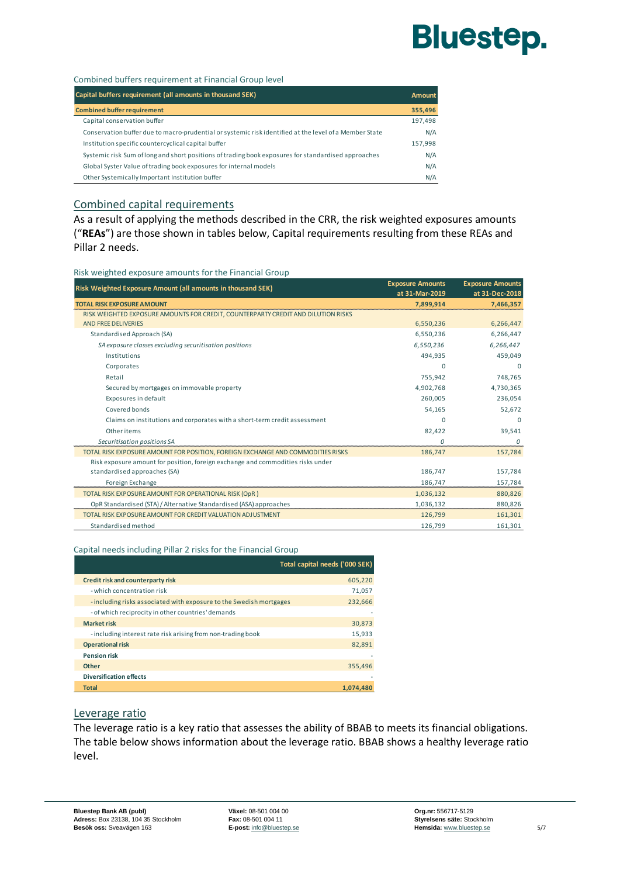# **Bluestep.**

Combined buffers requirement at Financial Group level

| Capital buffers requirement (all amounts in thousand SEK)                                              | Amount  |
|--------------------------------------------------------------------------------------------------------|---------|
| <b>Combined buffer requirement</b>                                                                     | 355,496 |
| Capital conservation buffer                                                                            | 197,498 |
| Conservation buffer due to macro-prudential or systemic risk identified at the level of a Member State | N/A     |
| Institution specific countercyclical capital buffer                                                    | 157,998 |
| Systemic risk Sum of long and short positions of trading book exposures for standardised approaches    | N/A     |
| Global Syster Value of trading book exposures for internal models                                      | N/A     |
| Other Systemically Important Institution buffer                                                        | N/A     |

#### Combined capital requirements

As a result of applying the methods described in the CRR, the risk weighted exposures amounts ("**REAs**") are those shown in tables below, Capital requirements resulting from these REAs and Pillar 2 needs.

Risk weighted exposure amounts for the Financial Group

| Risk Weighted Exposure Amount (all amounts in thousand SEK)                       | <b>Exposure Amounts</b> | <b>Exposure Amounts</b> |
|-----------------------------------------------------------------------------------|-------------------------|-------------------------|
|                                                                                   | at 31-Mar-2019          | at 31-Dec-2018          |
| <b>TOTAL RISK EXPOSURE AMOUNT</b>                                                 | 7,899,914               | 7,466,357               |
| RISK WEIGHTED EXPOSURE AMOUNTS FOR CREDIT, COUNTERPARTY CREDIT AND DILUTION RISKS |                         |                         |
| <b>AND FREE DELIVERIES</b>                                                        | 6,550,236               | 6,266,447               |
| Standardised Approach (SA)                                                        | 6,550,236               | 6,266,447               |
| SA exposure classes excluding securitisation positions                            | 6,550,236               | 6,266,447               |
| Institutions                                                                      | 494,935                 | 459,049                 |
| Corporates                                                                        | $\Omega$                | $\Omega$                |
| Retail                                                                            | 755,942                 | 748,765                 |
| Secured by mortgages on immovable property                                        | 4,902,768               | 4,730,365               |
| Exposures in default                                                              | 260.005                 | 236,054                 |
| Covered bonds                                                                     | 54,165                  | 52,672                  |
| Claims on institutions and corporates with a short-term credit assessment         | $\Omega$                | $\Omega$                |
| Other items                                                                       | 82,422                  | 39,541                  |
| Securitisation positions SA                                                       | $\Omega$                | $\Omega$                |
| TOTAL RISK EXPOSURE AMOUNT FOR POSITION, FOREIGN EXCHANGE AND COMMODITIES RISKS   | 186,747                 | 157,784                 |
| Risk exposure amount for position, foreign exchange and commodities risks under   |                         |                         |
| standardised approaches (SA)                                                      | 186,747                 | 157,784                 |
| Foreign Exchange                                                                  | 186.747                 | 157,784                 |
| TOTAL RISK EXPOSURE AMOUNT FOR OPERATIONAL RISK (OpR)                             | 1,036,132               | 880,826                 |
| OpR Standardised (STA) / Alternative Standardised (ASA) approaches                | 1,036,132               | 880,826                 |
| TOTAL RISK EXPOSURE AMOUNT FOR CREDIT VALUATION ADJUSTMENT                        | 126,799                 | 161,301                 |
| Standardised method                                                               | 126,799                 | 161,301                 |

#### Capital needs including Pillar 2 risks for the Financial Group

|                                                                     | Total capital needs ('000 SEK) |
|---------------------------------------------------------------------|--------------------------------|
| Credit risk and counterparty risk                                   | 605,220                        |
| - which concentration risk                                          | 71,057                         |
| - including risks associated with exposure to the Swedish mortgages | 232.666                        |
| - of which reciprocity in other countries' demands                  |                                |
| <b>Market risk</b>                                                  | 30,873                         |
| - including interest rate risk arising from non-trading book        | 15,933                         |
| <b>Operational risk</b>                                             | 82.891                         |
| <b>Pension risk</b>                                                 |                                |
| Other                                                               | 355,496                        |
| <b>Diversification effects</b>                                      |                                |
| <b>Total</b>                                                        | 1.074.480                      |

#### Leverage ratio

The leverage ratio is a key ratio that assesses the ability of BBAB to meets its financial obligations. The table below shows information about the leverage ratio. BBAB shows a healthy leverage ratio level.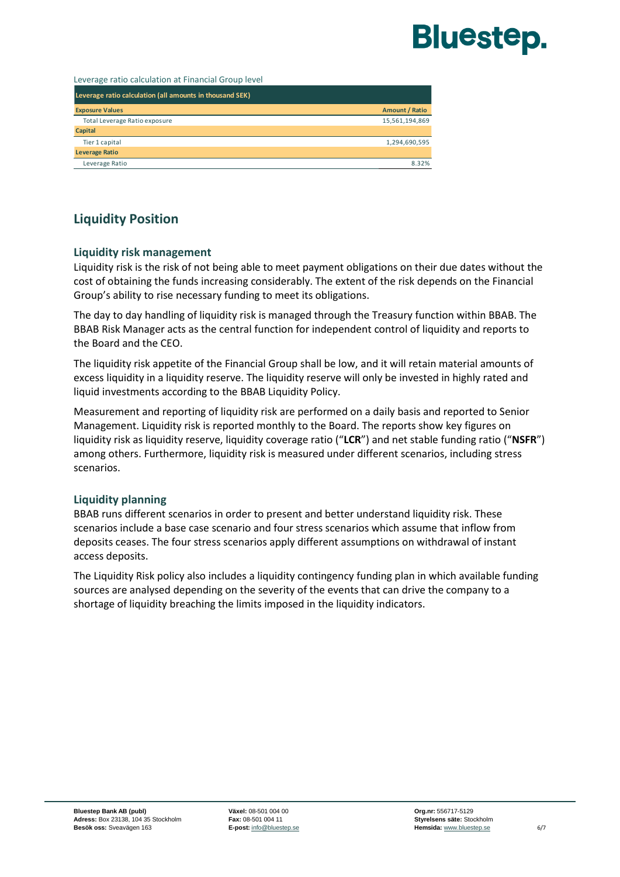# **Bluestep.**

Leverage ratio calculation at Financial Group level

| Leverage ratio calculation (all amounts in thousand SEK) |                       |
|----------------------------------------------------------|-----------------------|
| <b>Exposure Values</b>                                   | <b>Amount / Ratio</b> |
| Total Leverage Ratio exposure                            | 15,561,194,869        |
| Capital                                                  |                       |
| Tier 1 capital                                           | 1,294,690,595         |
| <b>Leverage Ratio</b>                                    |                       |
| Leverage Ratio                                           | 8.32%                 |
|                                                          |                       |

### **Liquidity Position**

#### **Liquidity risk management**

Liquidity risk is the risk of not being able to meet payment obligations on their due dates without the cost of obtaining the funds increasing considerably. The extent of the risk depends on the Financial Group's ability to rise necessary funding to meet its obligations.

The day to day handling of liquidity risk is managed through the Treasury function within BBAB. The BBAB Risk Manager acts as the central function for independent control of liquidity and reports to the Board and the CEO.

The liquidity risk appetite of the Financial Group shall be low, and it will retain material amounts of excess liquidity in a liquidity reserve. The liquidity reserve will only be invested in highly rated and liquid investments according to the BBAB Liquidity Policy.

Measurement and reporting of liquidity risk are performed on a daily basis and reported to Senior Management. Liquidity risk is reported monthly to the Board. The reports show key figures on liquidity risk as liquidity reserve, liquidity coverage ratio ("**LCR**") and net stable funding ratio ("**NSFR**") among others. Furthermore, liquidity risk is measured under different scenarios, including stress scenarios.

#### **Liquidity planning**

BBAB runs different scenarios in order to present and better understand liquidity risk. These scenarios include a base case scenario and four stress scenarios which assume that inflow from deposits ceases. The four stress scenarios apply different assumptions on withdrawal of instant access deposits.

The Liquidity Risk policy also includes a liquidity contingency funding plan in which available funding sources are analysed depending on the severity of the events that can drive the company to a shortage of liquidity breaching the limits imposed in the liquidity indicators.